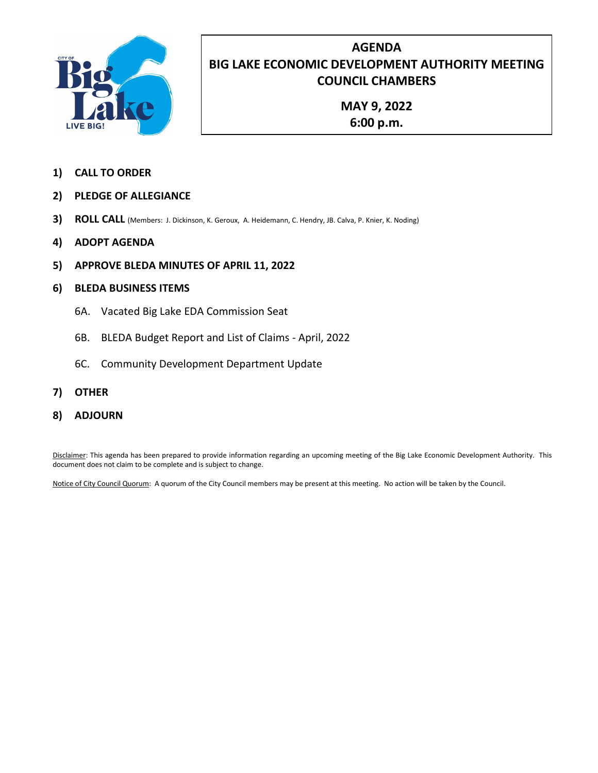

# **AGENDA BIG LAKE ECONOMIC DEVELOPMENT AUTHORITY MEETING COUNCIL CHAMBERS**

**MAY 9, 2022 6:00 p.m.**

- **1) CALL TO ORDER**
- **2) PLEDGE OF ALLEGIANCE**
- **3) ROLL CALL** (Members: J. Dickinson, K. Geroux, A. Heidemann, C. Hendry, JB. Calva, P. Knier, K. Noding)
- **4) ADOPT AGENDA**
- **5) APPROVE BLEDA MINUTES OF APRIL 11, 2022**
- **6) BLEDA BUSINESS ITEMS**
	- 6A. Vacated Big Lake EDA Commission Seat
	- 6B. BLEDA Budget Report and List of Claims April, 2022
	- 6C. Community Development Department Update
- **7) OTHER**
- **8) ADJOURN**

Disclaimer: This agenda has been prepared to provide information regarding an upcoming meeting of the Big Lake Economic Development Authority. This document does not claim to be complete and is subject to change.

Notice of City Council Quorum: A quorum of the City Council members may be present at this meeting. No action will be taken by the Council.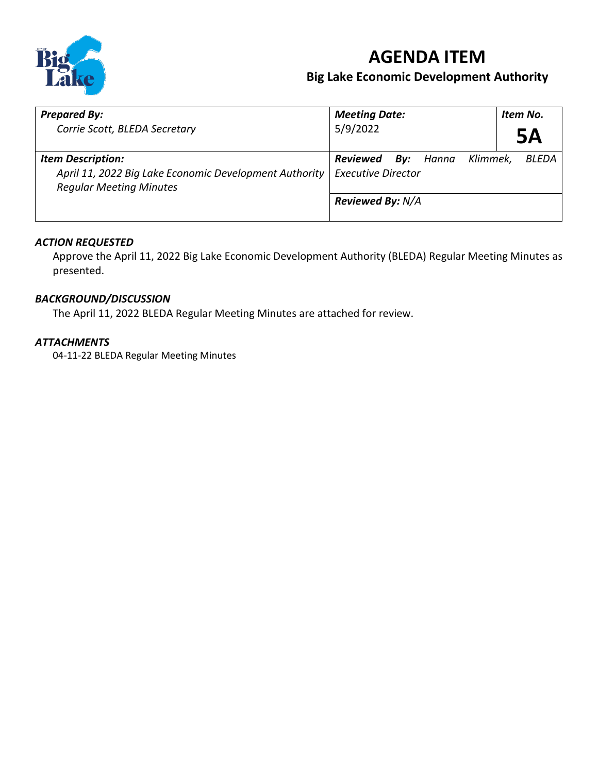

# **AGENDA ITEM**

# **Big Lake Economic Development Authority**

| <b>Prepared By:</b>                                                                                                  | <b>Meeting Date:</b>                                                  | Item No. |
|----------------------------------------------------------------------------------------------------------------------|-----------------------------------------------------------------------|----------|
| Corrie Scott, BLEDA Secretary                                                                                        | 5/9/2022                                                              | 5Α       |
| <b>Item Description:</b><br>April 11, 2022 Big Lake Economic Development Authority<br><b>Regular Meeting Minutes</b> | <b>Reviewed By:</b> Hanna Klimmek, BLEDA<br><b>Executive Director</b> |          |
|                                                                                                                      | <b>Reviewed By: N/A</b>                                               |          |

#### *ACTION REQUESTED*

Approve the April 11, 2022 Big Lake Economic Development Authority (BLEDA) Regular Meeting Minutes as presented.

#### *BACKGROUND/DISCUSSION*

The April 11, 2022 BLEDA Regular Meeting Minutes are attached for review.

#### *ATTACHMENTS*

04-11-22 BLEDA Regular Meeting Minutes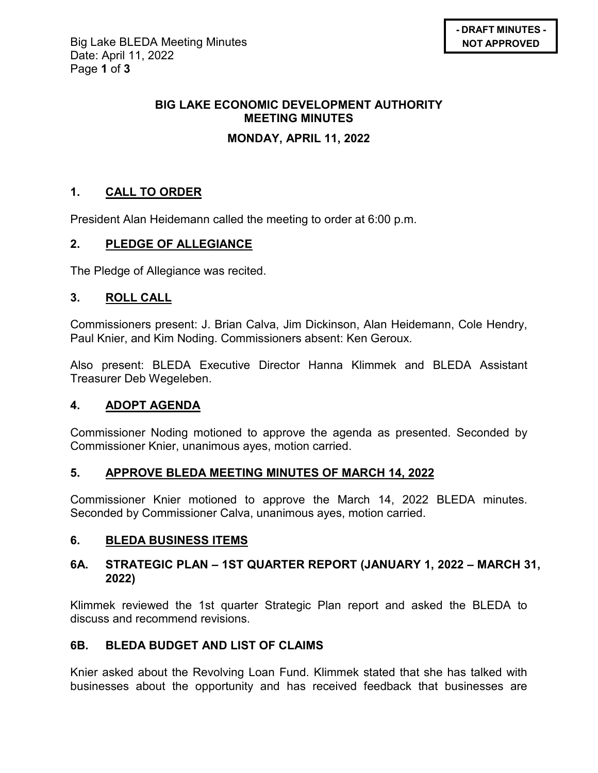# **BIG LAKE ECONOMIC DEVELOPMENT AUTHORITY MEETING MINUTES**

# **MONDAY, APRIL 11, 2022**

# **1. CALL TO ORDER**

President Alan Heidemann called the meeting to order at 6:00 p.m.

# **2. PLEDGE OF ALLEGIANCE**

The Pledge of Allegiance was recited.

# **3. ROLL CALL**

Commissioners present: J. Brian Calva, Jim Dickinson, Alan Heidemann, Cole Hendry, Paul Knier, and Kim Noding. Commissioners absent: Ken Geroux.

Also present: BLEDA Executive Director Hanna Klimmek and BLEDA Assistant Treasurer Deb Wegeleben.

# **4. ADOPT AGENDA**

Commissioner Noding motioned to approve the agenda as presented. Seconded by Commissioner Knier, unanimous ayes, motion carried.

# **5. APPROVE BLEDA MEETING MINUTES OF MARCH 14, 2022**

Commissioner Knier motioned to approve the March 14, 2022 BLEDA minutes. Seconded by Commissioner Calva, unanimous ayes, motion carried.

# **6. BLEDA BUSINESS ITEMS**

## **6A. STRATEGIC PLAN – 1ST QUARTER REPORT (JANUARY 1, 2022 – MARCH 31, 2022)**

Klimmek reviewed the 1st quarter Strategic Plan report and asked the BLEDA to discuss and recommend revisions.

# **6B. BLEDA BUDGET AND LIST OF CLAIMS**

Knier asked about the Revolving Loan Fund. Klimmek stated that she has talked with businesses about the opportunity and has received feedback that businesses are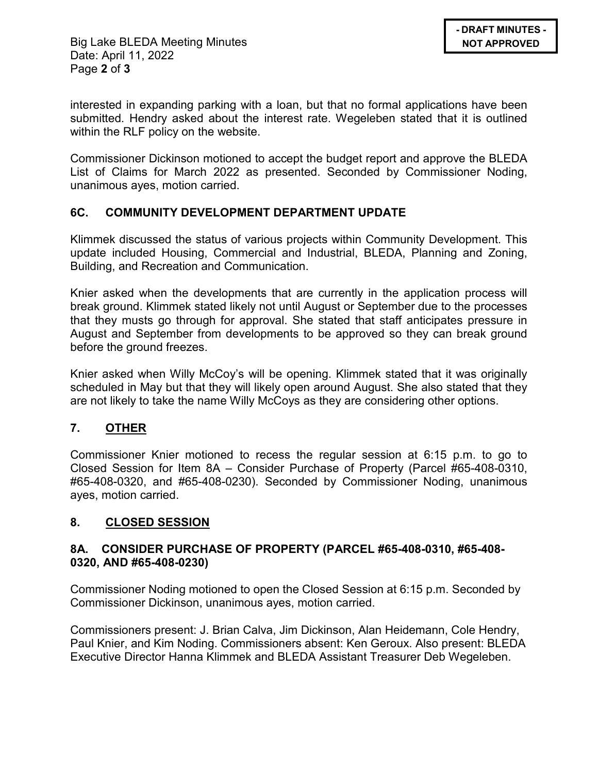Big Lake BLEDA Meeting Minutes Date: April 11, 2022 Page **2** of **3**

interested in expanding parking with a loan, but that no formal applications have been submitted. Hendry asked about the interest rate. Wegeleben stated that it is outlined within the RLF policy on the website.

Commissioner Dickinson motioned to accept the budget report and approve the BLEDA List of Claims for March 2022 as presented. Seconded by Commissioner Noding, unanimous ayes, motion carried.

## **6C. COMMUNITY DEVELOPMENT DEPARTMENT UPDATE**

Klimmek discussed the status of various projects within Community Development. This update included Housing, Commercial and Industrial, BLEDA, Planning and Zoning, Building, and Recreation and Communication.

Knier asked when the developments that are currently in the application process will break ground. Klimmek stated likely not until August or September due to the processes that they musts go through for approval. She stated that staff anticipates pressure in August and September from developments to be approved so they can break ground before the ground freezes.

Knier asked when Willy McCoy's will be opening. Klimmek stated that it was originally scheduled in May but that they will likely open around August. She also stated that they are not likely to take the name Willy McCoys as they are considering other options.

# **7. OTHER**

Commissioner Knier motioned to recess the regular session at 6:15 p.m. to go to Closed Session for Item 8A – Consider Purchase of Property (Parcel #65-408-0310, #65-408-0320, and #65-408-0230). Seconded by Commissioner Noding, unanimous ayes, motion carried.

# **8. CLOSED SESSION**

## **8A. CONSIDER PURCHASE OF PROPERTY (PARCEL #65-408-0310, #65-408- 0320, AND #65-408-0230)**

Commissioner Noding motioned to open the Closed Session at 6:15 p.m. Seconded by Commissioner Dickinson, unanimous ayes, motion carried.

Commissioners present: J. Brian Calva, Jim Dickinson, Alan Heidemann, Cole Hendry, Paul Knier, and Kim Noding. Commissioners absent: Ken Geroux. Also present: BLEDA Executive Director Hanna Klimmek and BLEDA Assistant Treasurer Deb Wegeleben.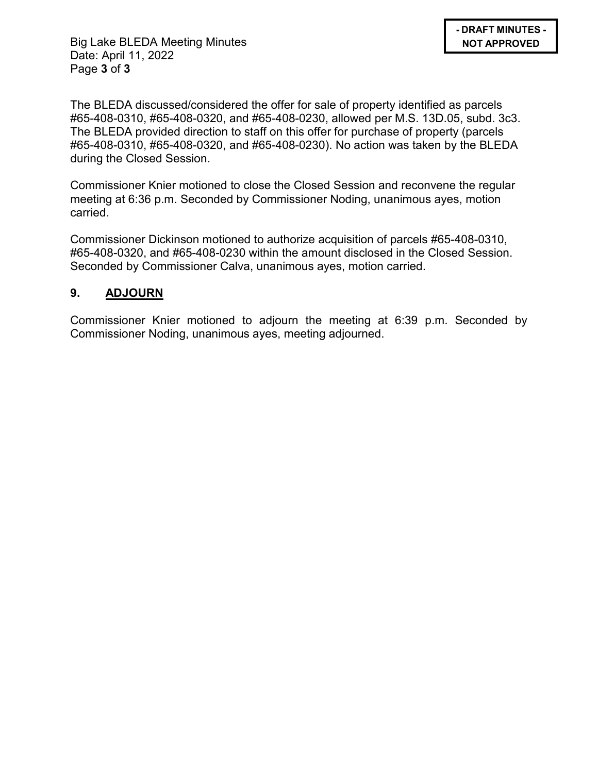Big Lake BLEDA Meeting Minutes Date: April 11, 2022 Page **3** of **3**

The BLEDA discussed/considered the offer for sale of property identified as parcels #65-408-0310, #65-408-0320, and #65-408-0230, allowed per M.S. 13D.05, subd. 3c3. The BLEDA provided direction to staff on this offer for purchase of property (parcels #65-408-0310, #65-408-0320, and #65-408-0230). No action was taken by the BLEDA during the Closed Session.

Commissioner Knier motioned to close the Closed Session and reconvene the regular meeting at 6:36 p.m. Seconded by Commissioner Noding, unanimous ayes, motion carried.

Commissioner Dickinson motioned to authorize acquisition of parcels #65-408-0310, #65-408-0320, and #65-408-0230 within the amount disclosed in the Closed Session. Seconded by Commissioner Calva, unanimous ayes, motion carried.

## **9. ADJOURN**

Commissioner Knier motioned to adjourn the meeting at 6:39 p.m. Seconded by Commissioner Noding, unanimous ayes, meeting adjourned.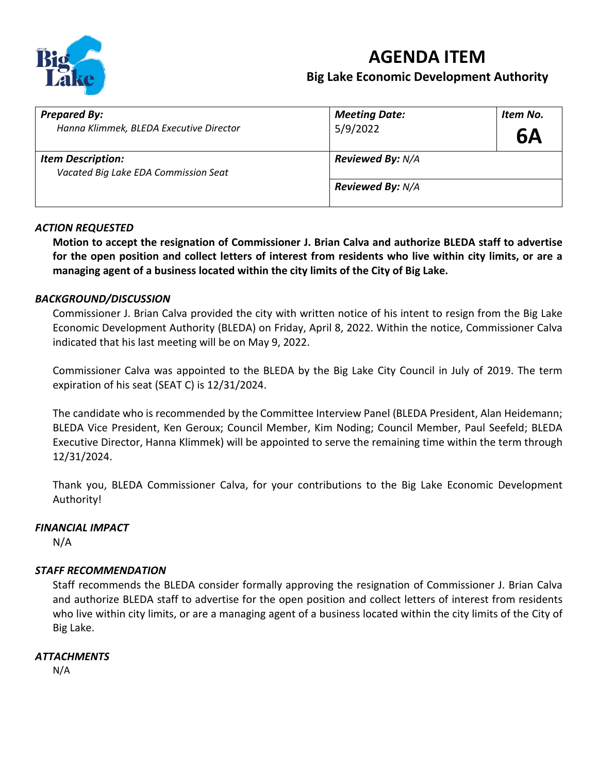

# **AGENDA ITEM**

# **Big Lake Economic Development Authority**

| <b>Prepared By:</b>                                              | <b>Meeting Date:</b>    | Item No.  |
|------------------------------------------------------------------|-------------------------|-----------|
| Hanna Klimmek, BLEDA Executive Director                          | 5/9/2022                | <b>6A</b> |
| <b>Item Description:</b><br>Vacated Big Lake EDA Commission Seat | <b>Reviewed By: N/A</b> |           |
|                                                                  | <b>Reviewed By: N/A</b> |           |

#### *ACTION REQUESTED*

**Motion to accept the resignation of Commissioner J. Brian Calva and authorize BLEDA staff to advertise for the open position and collect letters of interest from residents who live within city limits, or are a managing agent of a business located within the city limits of the City of Big Lake.** 

#### *BACKGROUND/DISCUSSION*

Commissioner J. Brian Calva provided the city with written notice of his intent to resign from the Big Lake Economic Development Authority (BLEDA) on Friday, April 8, 2022. Within the notice, Commissioner Calva indicated that his last meeting will be on May 9, 2022.

Commissioner Calva was appointed to the BLEDA by the Big Lake City Council in July of 2019. The term expiration of his seat (SEAT C) is 12/31/2024.

The candidate who is recommended by the Committee Interview Panel (BLEDA President, Alan Heidemann; BLEDA Vice President, Ken Geroux; Council Member, Kim Noding; Council Member, Paul Seefeld; BLEDA Executive Director, Hanna Klimmek) will be appointed to serve the remaining time within the term through 12/31/2024.

Thank you, BLEDA Commissioner Calva, for your contributions to the Big Lake Economic Development Authority!

#### *FINANCIAL IMPACT*

N/A

#### *STAFF RECOMMENDATION*

Staff recommends the BLEDA consider formally approving the resignation of Commissioner J. Brian Calva and authorize BLEDA staff to advertise for the open position and collect letters of interest from residents who live within city limits, or are a managing agent of a business located within the city limits of the City of Big Lake.

#### *ATTACHMENTS*

N/A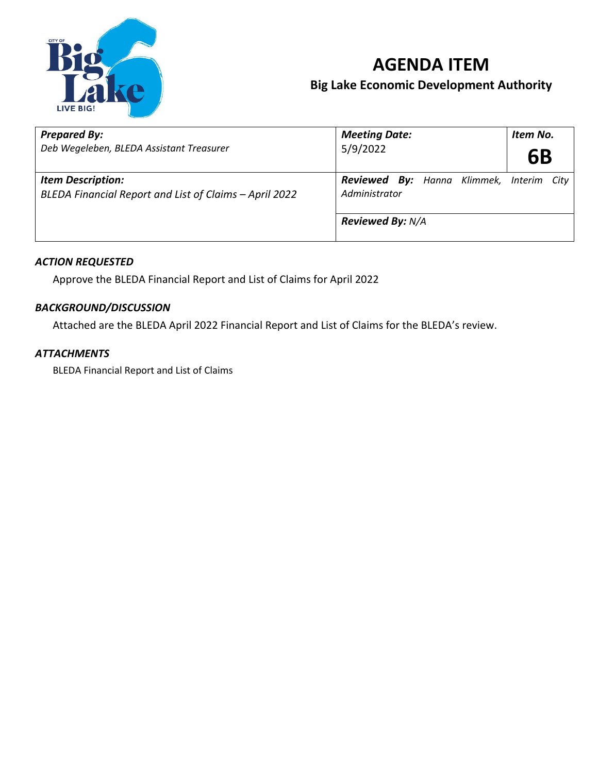

# **AGENDA ITEM Big Lake Economic Development Authority**

| <b>Prepared By:</b><br>Deb Wegeleben, BLEDA Assistant Treasurer                    | <b>Meeting Date:</b><br>5/9/2022                                 | Item No.<br>6B |  |
|------------------------------------------------------------------------------------|------------------------------------------------------------------|----------------|--|
| <b>Item Description:</b><br>BLEDA Financial Report and List of Claims - April 2022 | <b>Reviewed By:</b> Hanna Klimmek, Interim City<br>Administrator |                |  |
|                                                                                    | <b>Reviewed By: N/A</b>                                          |                |  |

## *ACTION REQUESTED*

Approve the BLEDA Financial Report and List of Claims for April 2022

## *BACKGROUND/DISCUSSION*

Attached are the BLEDA April 2022 Financial Report and List of Claims for the BLEDA's review.

## *ATTACHMENTS*

BLEDA Financial Report and List of Claims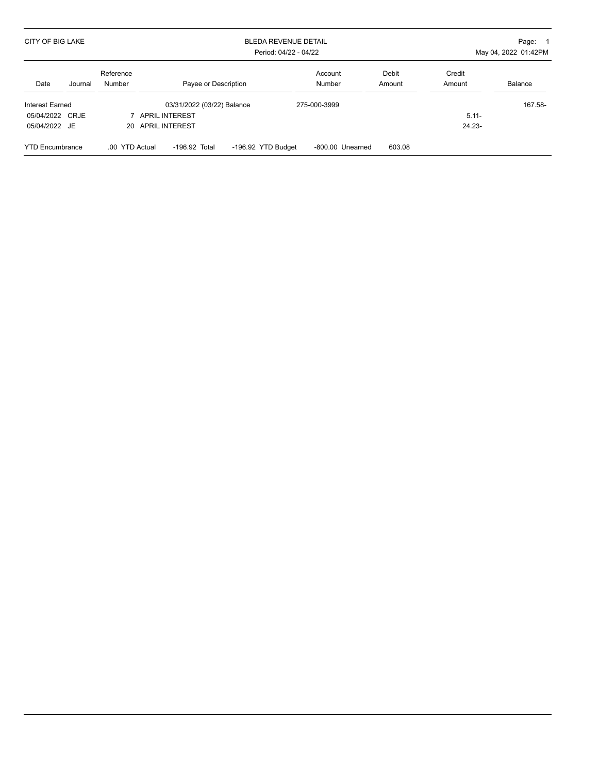| CITY OF BIG LAKE       |         |                     |                            | Page: 1<br>May 04, 2022 01:42PM |                   |                 |                  |         |
|------------------------|---------|---------------------|----------------------------|---------------------------------|-------------------|-----------------|------------------|---------|
| Date                   | Journal | Reference<br>Number | Payee or Description       |                                 | Account<br>Number | Debit<br>Amount | Credit<br>Amount | Balance |
| Interest Earned        |         |                     | 03/31/2022 (03/22) Balance |                                 | 275-000-3999      |                 |                  | 167.58- |
| 05/04/2022 CRJE        |         |                     | <b>APRIL INTEREST</b>      |                                 |                   |                 | $5.11 -$         |         |
| 05/04/2022 JE          |         |                     | 20 APRIL INTEREST          |                                 |                   |                 | $24.23 -$        |         |
| <b>YTD Encumbrance</b> |         | .00 YTD Actual      | $-196.92$ Total            | -196.92 YTD Budget              | -800.00 Unearned  | 603.08          |                  |         |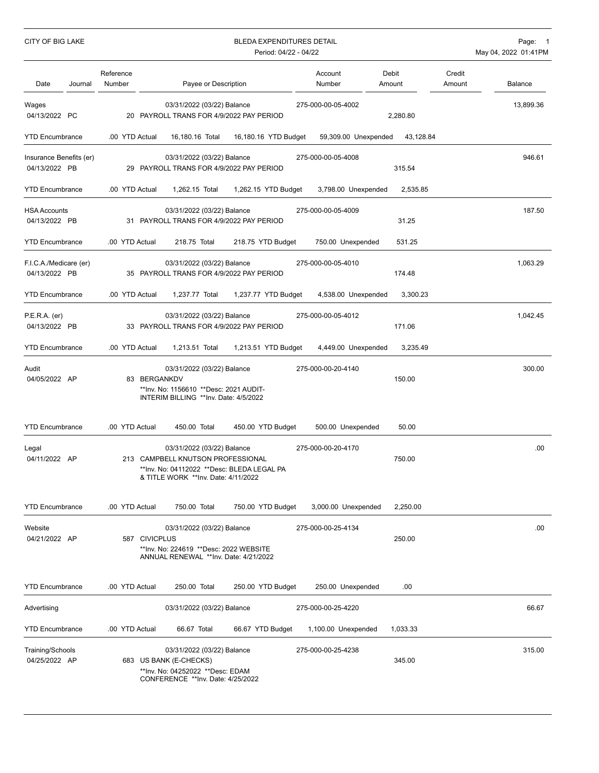| CITY OF BIG LAKE                         |         |                     | <b>BLEDA EXPENDITURES DETAIL</b><br>Period: 04/22 - 04/22 |                                                                                                                                                      |  |                      |                      |                 | Page: 1<br>May 04, 2022 01:41PM |           |
|------------------------------------------|---------|---------------------|-----------------------------------------------------------|------------------------------------------------------------------------------------------------------------------------------------------------------|--|----------------------|----------------------|-----------------|---------------------------------|-----------|
| Date                                     | Journal | Reference<br>Number |                                                           | Payee or Description                                                                                                                                 |  |                      | Account<br>Number    | Debit<br>Amount | Credit<br>Amount                | Balance   |
| Wages<br>04/13/2022 PC                   |         |                     |                                                           | 03/31/2022 (03/22) Balance<br>20 PAYROLL TRANS FOR 4/9/2022 PAY PERIOD                                                                               |  |                      | 275-000-00-05-4002   | 2,280.80        |                                 | 13,899.36 |
| <b>YTD Encumbrance</b>                   |         | .00 YTD Actual      |                                                           | 16,180.16 Total                                                                                                                                      |  | 16,180.16 YTD Budget | 59,309.00 Unexpended | 43,128.84       |                                 |           |
| Insurance Benefits (er)<br>04/13/2022 PB |         |                     |                                                           | 03/31/2022 (03/22) Balance<br>29 PAYROLL TRANS FOR 4/9/2022 PAY PERIOD                                                                               |  |                      | 275-000-00-05-4008   | 315.54          |                                 | 946.61    |
| <b>YTD Encumbrance</b>                   |         | .00 YTD Actual      |                                                           | 1,262.15 Total                                                                                                                                       |  | 1,262.15 YTD Budget  | 3,798.00 Unexpended  | 2,535.85        |                                 |           |
| <b>HSA Accounts</b><br>04/13/2022 PB     |         |                     |                                                           | 03/31/2022 (03/22) Balance<br>31 PAYROLL TRANS FOR 4/9/2022 PAY PERIOD                                                                               |  |                      | 275-000-00-05-4009   | 31.25           |                                 | 187.50    |
| <b>YTD Encumbrance</b>                   |         | .00 YTD Actual      |                                                           | 218.75 Total                                                                                                                                         |  | 218.75 YTD Budget    | 750.00 Unexpended    | 531.25          |                                 |           |
| F.I.C.A./Medicare (er)<br>04/13/2022 PB  |         |                     |                                                           | 03/31/2022 (03/22) Balance<br>35 PAYROLL TRANS FOR 4/9/2022 PAY PERIOD                                                                               |  |                      | 275-000-00-05-4010   | 174.48          |                                 | 1,063.29  |
| <b>YTD Encumbrance</b>                   |         | .00 YTD Actual      |                                                           | 1,237.77 Total                                                                                                                                       |  | 1,237.77 YTD Budget  | 4,538.00 Unexpended  | 3,300.23        |                                 |           |
| $P.E.R.A.$ (er)<br>04/13/2022 PB         |         |                     |                                                           | 03/31/2022 (03/22) Balance<br>33 PAYROLL TRANS FOR 4/9/2022 PAY PERIOD                                                                               |  |                      | 275-000-00-05-4012   | 171.06          |                                 | 1,042.45  |
| <b>YTD Encumbrance</b>                   |         | .00 YTD Actual      |                                                           | 1,213.51 Total                                                                                                                                       |  | 1,213.51 YTD Budget  | 4,449.00 Unexpended  | 3,235.49        |                                 |           |
| Audit<br>04/05/2022 AP                   |         |                     | 83 BERGANKDV                                              | 03/31/2022 (03/22) Balance<br>**Inv. No: 1156610 **Desc: 2021 AUDIT-<br>INTERIM BILLING ** Inv. Date: 4/5/2022                                       |  |                      | 275-000-00-20-4140   | 150.00          |                                 | 300.00    |
| <b>YTD Encumbrance</b>                   |         | .00 YTD Actual      |                                                           | 450.00 Total                                                                                                                                         |  | 450.00 YTD Budget    | 500.00 Unexpended    | 50.00           |                                 |           |
| Legal<br>04/11/2022 AP                   |         |                     |                                                           | 03/31/2022 (03/22) Balance<br>213 CAMPBELL KNUTSON PROFESSIONAL<br>**Inv. No: 04112022 **Desc: BLEDA LEGAL PA<br>& TITLE WORK **Inv. Date: 4/11/2022 |  |                      | 275-000-00-20-4170   | 750.00          |                                 | .00.      |
| <b>YTD Encumbrance</b>                   |         | .00 YTD Actual      |                                                           | 750.00 Total                                                                                                                                         |  | 750.00 YTD Budget    | 3,000.00 Unexpended  | 2,250.00        |                                 |           |
| Website<br>04/21/2022 AP                 |         |                     | 587 CIVICPLUS                                             | 03/31/2022 (03/22) Balance<br>**Inv. No: 224619 **Desc: 2022 WEBSITE<br>ANNUAL RENEWAL ** Inv. Date: 4/21/2022                                       |  |                      | 275-000-00-25-4134   | 250.00          |                                 | .00.      |
| <b>YTD Encumbrance</b>                   |         | .00 YTD Actual      |                                                           | 250.00 Total                                                                                                                                         |  | 250.00 YTD Budget    | 250.00 Unexpended    | .00.            |                                 |           |
| Advertising                              |         |                     |                                                           | 03/31/2022 (03/22) Balance                                                                                                                           |  |                      | 275-000-00-25-4220   |                 |                                 | 66.67     |
| <b>YTD Encumbrance</b>                   |         | .00 YTD Actual      |                                                           | 66.67 Total                                                                                                                                          |  | 66.67 YTD Budget     | 1,100.00 Unexpended  | 1,033.33        |                                 |           |
| Training/Schools<br>04/25/2022 AP        |         |                     |                                                           | 03/31/2022 (03/22) Balance<br>683 US BANK (E-CHECKS)<br>**Inv. No: 04252022 **Desc: EDAM<br>CONFERENCE **Inv. Date: 4/25/2022                        |  |                      | 275-000-00-25-4238   | 345.00          |                                 | 315.00    |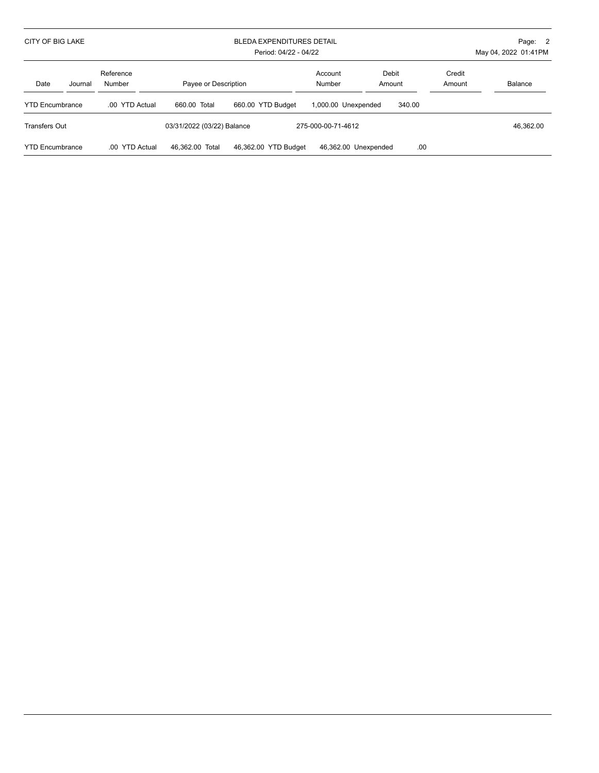| <b>CITY OF BIG LAKE</b> |         |                          | BLEDA EXPENDITURES DETAIL<br>Period: 04/22 - 04/22 |                      |                      |                 |                  | Page: 2<br>May 04, 2022 01:41PM |
|-------------------------|---------|--------------------------|----------------------------------------------------|----------------------|----------------------|-----------------|------------------|---------------------------------|
| Date                    | Journal | Reference<br>Number      | Payee or Description                               |                      | Account<br>Number    | Debit<br>Amount | Credit<br>Amount | Balance                         |
| <b>YTD Encumbrance</b>  |         | .00 YTD Actual           | 660.00 Total                                       | 660.00 YTD Budget    | 1,000.00 Unexpended  | 340.00          |                  |                                 |
| Transfers Out           |         |                          | 03/31/2022 (03/22) Balance                         |                      | 275-000-00-71-4612   |                 |                  | 46.362.00                       |
| <b>YTD Encumbrance</b>  |         | <b>YTD Actual</b><br>.00 | 46.362.00 Total                                    | 46.362.00 YTD Budget | 46,362.00 Unexpended | .00             |                  |                                 |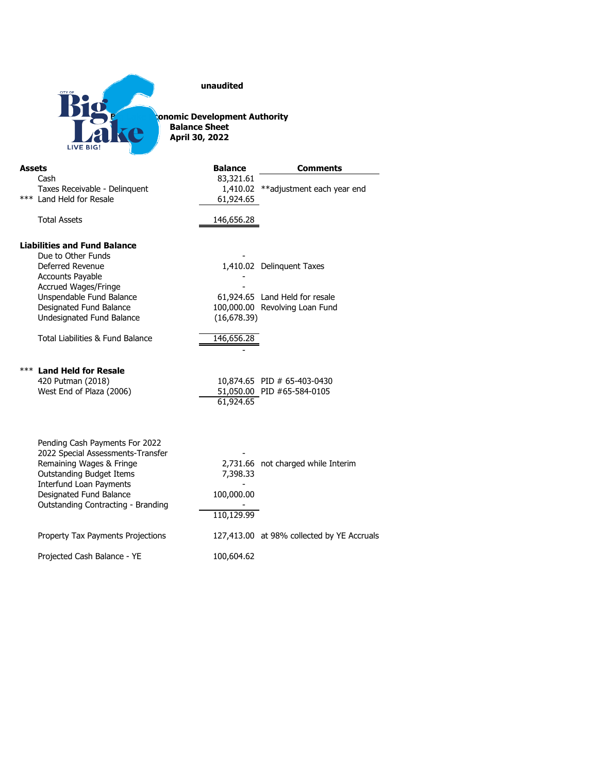

**unaudited**

**Big Lake Economic Development Authority Balance Sheet April 30, 2022**

| <b>Assets</b>                                                                                                                                                                                           | <b>Balance</b>                                    | <b>Comments</b>                            |
|---------------------------------------------------------------------------------------------------------------------------------------------------------------------------------------------------------|---------------------------------------------------|--------------------------------------------|
| Cash                                                                                                                                                                                                    | 83,321.61                                         |                                            |
| Taxes Receivable - Delinquent<br>*** Land Held for Resale                                                                                                                                               | 61,924.65                                         | 1,410.02 ** adjustment each year end       |
|                                                                                                                                                                                                         |                                                   |                                            |
| <b>Total Assets</b>                                                                                                                                                                                     | 146,656.28                                        |                                            |
|                                                                                                                                                                                                         |                                                   |                                            |
| <b>Liabilities and Fund Balance</b><br>Due to Other Funds                                                                                                                                               |                                                   |                                            |
| Deferred Revenue                                                                                                                                                                                        |                                                   | 1,410.02 Delinquent Taxes                  |
| <b>Accounts Payable</b>                                                                                                                                                                                 |                                                   |                                            |
| Accrued Wages/Fringe                                                                                                                                                                                    |                                                   |                                            |
| Unspendable Fund Balance                                                                                                                                                                                |                                                   | 61,924.65 Land Held for resale             |
| Designated Fund Balance                                                                                                                                                                                 |                                                   | 100,000.00 Revolving Loan Fund             |
| Undesignated Fund Balance                                                                                                                                                                               | (16, 678.39)                                      |                                            |
| Total Liabilities & Fund Balance                                                                                                                                                                        | 146,656.28                                        |                                            |
|                                                                                                                                                                                                         |                                                   |                                            |
| *** Land Held for Resale                                                                                                                                                                                |                                                   |                                            |
| 420 Putman (2018)                                                                                                                                                                                       |                                                   | 10,874.65 PID # 65-403-0430                |
| West End of Plaza (2006)                                                                                                                                                                                |                                                   | 51,050.00 PID #65-584-0105                 |
|                                                                                                                                                                                                         |                                                   |                                            |
|                                                                                                                                                                                                         |                                                   |                                            |
|                                                                                                                                                                                                         |                                                   |                                            |
|                                                                                                                                                                                                         |                                                   |                                            |
|                                                                                                                                                                                                         |                                                   |                                            |
|                                                                                                                                                                                                         |                                                   |                                            |
| Interfund Loan Payments                                                                                                                                                                                 |                                                   |                                            |
| Designated Fund Balance                                                                                                                                                                                 | 100,000.00                                        |                                            |
|                                                                                                                                                                                                         |                                                   |                                            |
|                                                                                                                                                                                                         |                                                   |                                            |
| Property Tax Payments Projections                                                                                                                                                                       |                                                   | 127,413.00 at 98% collected by YE Accruals |
|                                                                                                                                                                                                         |                                                   |                                            |
| Pending Cash Payments For 2022<br>2022 Special Assessments-Transfer<br>Remaining Wages & Fringe<br><b>Outstanding Budget Items</b><br>Outstanding Contracting - Branding<br>Projected Cash Balance - YE | 61,924.65<br>7,398.33<br>110,129.99<br>100,604.62 | 2,731.66 not charged while Interim         |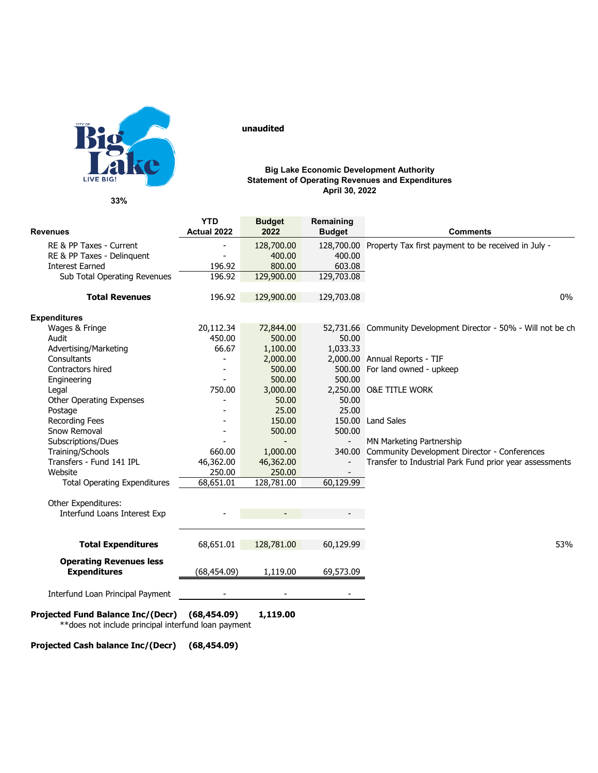

**33%**

### **YTD Budget Remaining**<br> **Actual 2022 Budget Revenues Actual 2022 2022 Budget Comments** RE & PP Taxes - Current Tax First payment to be received in July -<br>RE & PP Taxes - Delinguent Tax Pelinguent - 400.00 400.00 RE & PP Taxes - Delinquent 196.92 196.92 400.00 400.00 Interest Earned 196.92 800.00 603.08<br>Sub Total Operating Revenues 196.92 129,900.00 129,703.08 Sub Total Operating Revenues **Total Revenues** 196.92 129,900.00 129,703.08 0% **Expenditures**<br>Wages & Fringe Wages & Fringe 20,112.34 72,844.00 52,731.66 Community Development Director - 50% - Will not be ch<br>Audit 450.00 500.00 50.00 50.00 Audit 450.00 500.00 50.00 Advertising/Marketing 66.67 1,100.00 1,033.33<br>Consultants 2,000.00 2,000.00 Consultants - 2,000.00 2,000.00 Annual Reports - TIF - 500.00 500.00 For land owned - upkeep<br>- 500.00 500.00 Engineering - 500.00 500.00 00.00 2,250.00 O&E TITLE WORK<br>50.00 50.00 Other Operating Expenses <sup>-</sup> 50.00 50.00<br>Postage 25.00 25.00 Postage - 25.00 25.00 25.00 25.00 25.00 25.00 25.00 25.00 25.00 25.00 25.00 25.00 25.00 25.00 25.00 25.00 25.00 Recording Fees The Contract Contract Contract Contract Contract Contract Contract Contract Contract Contract Contract Contract Contract Contract Contract Contract Contract Contract Contract Contract Contract Contract Contr Snow Removal<br>Subscriptions/Dues Subscriptions/Dues - - - MN Marketing Partnership Training/Schools 660.00 1,000.00 340.00 Community Development Director - Conferences<br>Transfers - Fund 141 IPL 46,362.00 46,362.00 - Transfer to Industrial Park Fund prior year asses Transfers - Fund 141 IPL 46,362.00 46,362.00 46,362.00 - Transfer to Industrial Park Fund prior year assessments<br>Website 250.00 250.00 250.00 - 250.00 - 250.00 250.00 250.00 250.00 250.00 250.00 250.00 250.00 250.00 250.00 250.00 250.00 250.00 250.00 250.00 250 Total Operating Expenditures 68,651.01 128,781.00 60,129.99 Other Expenditures: Interfund Loans Interest Exp **Total Expenditures**  $68,651.01$   $128,781.00$   $60,129.99$ **Operating Revenues less Expenditures** (68,454.09) 1,119.00 69,573.09 Interfund Loan Principal Payment - - - **Projected Fund Balance Inc/(Decr) (68,454.09) 1,119.00** \*\*does not include principal interfund loan payment

**Projected Cash balance Inc/(Decr) (68,454.09)**

**unaudited** 

#### **Big Lake Economic Development Authority Statement of Operating Revenues and Expenditures April 30, 2022**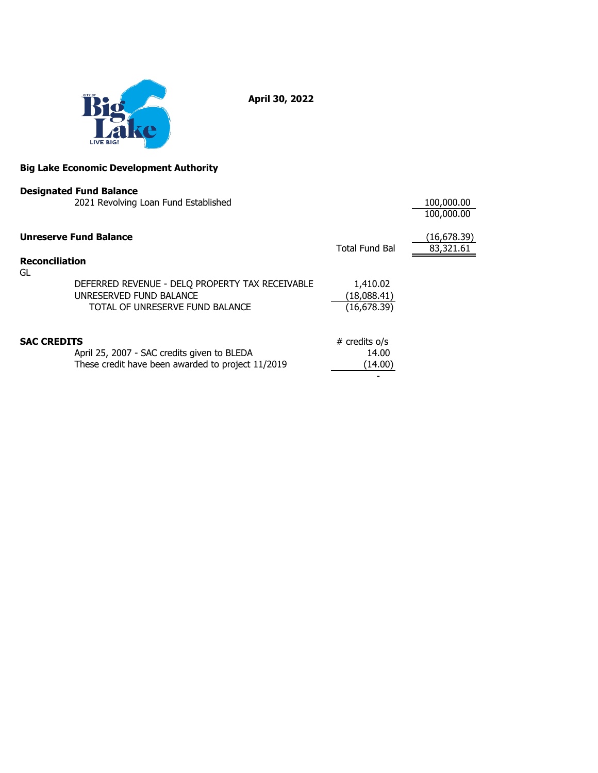

**April 30, 2022**

#### **Big Lake Economic Development Authority**

|                             | <b>Designated Fund Balance</b>                                                                                |                                         |                          |
|-----------------------------|---------------------------------------------------------------------------------------------------------------|-----------------------------------------|--------------------------|
|                             | 2021 Revolving Loan Fund Established                                                                          |                                         | 100,000.00<br>100,000.00 |
|                             | <b>Unreserve Fund Balance</b>                                                                                 | Total Fund Bal                          | (16,678.39)<br>83,321.61 |
| <b>Reconciliation</b><br>GL |                                                                                                               |                                         |                          |
|                             | DEFERRED REVENUE - DELQ PROPERTY TAX RECEIVABLE<br>UNRESERVED FUND BALANCE<br>TOTAL OF UNRESERVE FUND BALANCE | 1,410.02<br>(18,088.41)<br>(16, 678.39) |                          |
| <b>SAC CREDITS</b>          | April 25, 2007 - SAC credits given to BLEDA<br>These credit have been awarded to project 11/2019              | # credits o/s<br>14.00<br>(14.00)       |                          |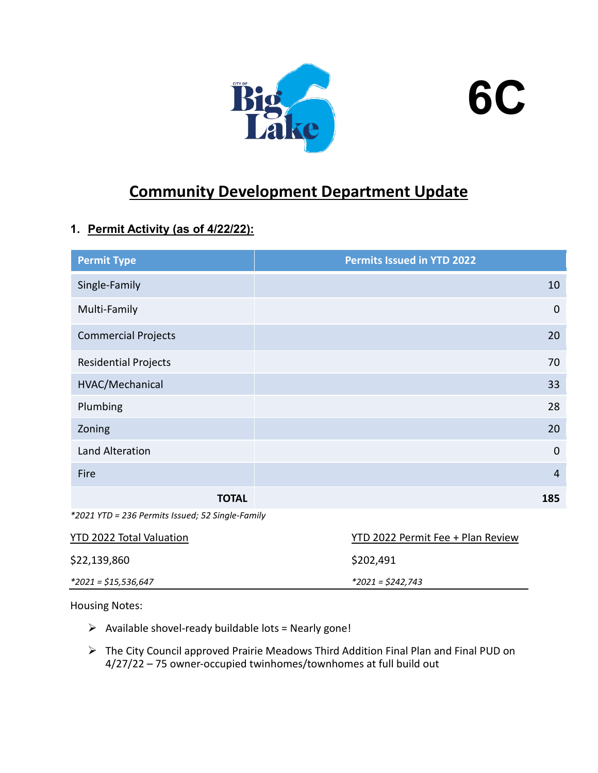



# **Community Development Department Update**

# **1. Permit Activity (as of 4/22/22):**

| <b>Permit Type</b>                               | Permits Issued in YTD 2022 |
|--------------------------------------------------|----------------------------|
| Single-Family                                    | 10                         |
| Multi-Family                                     | $\mathbf 0$                |
| <b>Commercial Projects</b>                       | 20                         |
| <b>Residential Projects</b>                      | 70                         |
| HVAC/Mechanical                                  | 33                         |
| Plumbing                                         | 28                         |
| Zoning                                           | 20                         |
| Land Alteration                                  | $\mathbf 0$                |
| Fire                                             | $\overline{4}$             |
| <b>TOTAL</b>                                     | 185                        |
| *2021 YTD = 236 Permits Issued; 52 Single-Family |                            |

| <b>YTD 2022 Total Valuation</b> | YTD 2022 Permit Fee + Plan Review |
|---------------------------------|-----------------------------------|
| \$22,139,860                    | \$202,491                         |
| *2021 = \$15,536,647            | *2021 = \$242,743                 |

Housing Notes:

- $\triangleright$  Available shovel-ready buildable lots = Nearly gone!
- The City Council approved Prairie Meadows Third Addition Final Plan and Final PUD on 4/27/22 – 75 owner-occupied twinhomes/townhomes at full build out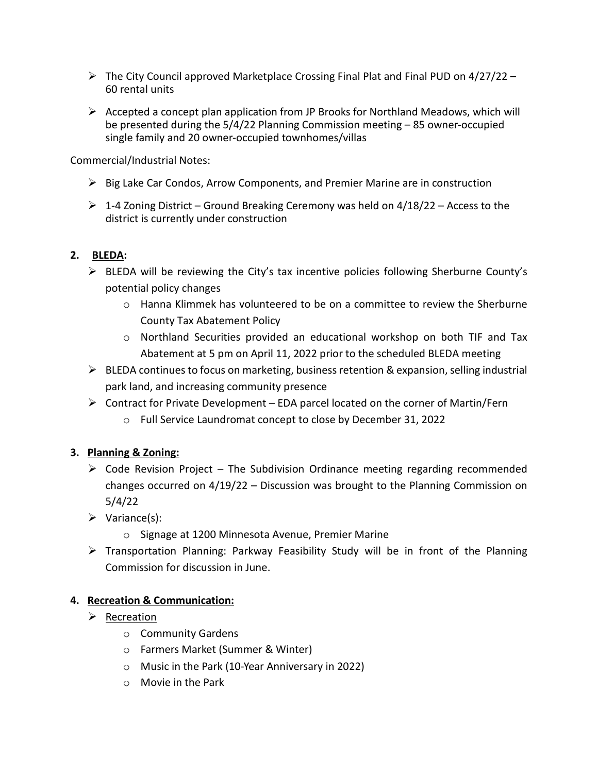- $\triangleright$  The City Council approved Marketplace Crossing Final Plat and Final PUD on 4/27/22 60 rental units
- $\triangleright$  Accepted a concept plan application from JP Brooks for Northland Meadows, which will be presented during the 5/4/22 Planning Commission meeting – 85 owner-occupied single family and 20 owner-occupied townhomes/villas

Commercial/Industrial Notes:

- $\triangleright$  Big Lake Car Condos, Arrow Components, and Premier Marine are in construction
- $\triangleright$  1-4 Zoning District Ground Breaking Ceremony was held on 4/18/22 Access to the district is currently under construction

## **2. BLEDA:**

- $\triangleright$  BLEDA will be reviewing the City's tax incentive policies following Sherburne County's potential policy changes
	- $\circ$  Hanna Klimmek has volunteered to be on a committee to review the Sherburne County Tax Abatement Policy
	- o Northland Securities provided an educational workshop on both TIF and Tax Abatement at 5 pm on April 11, 2022 prior to the scheduled BLEDA meeting
- $\triangleright$  BLEDA continues to focus on marketing, business retention & expansion, selling industrial park land, and increasing community presence
- $\triangleright$  Contract for Private Development EDA parcel located on the corner of Martin/Fern
	- o Full Service Laundromat concept to close by December 31, 2022

## **3. Planning & Zoning:**

- $\triangleright$  Code Revision Project The Subdivision Ordinance meeting regarding recommended changes occurred on 4/19/22 – Discussion was brought to the Planning Commission on 5/4/22
- $\triangleright$  Variance(s):
	- o Signage at 1200 Minnesota Avenue, Premier Marine
- $\triangleright$  Transportation Planning: Parkway Feasibility Study will be in front of the Planning Commission for discussion in June.

## **4. Recreation & Communication:**

- $\triangleright$  Recreation
	- o Community Gardens
	- o Farmers Market (Summer & Winter)
	- o Music in the Park (10-Year Anniversary in 2022)
	- o Movie in the Park